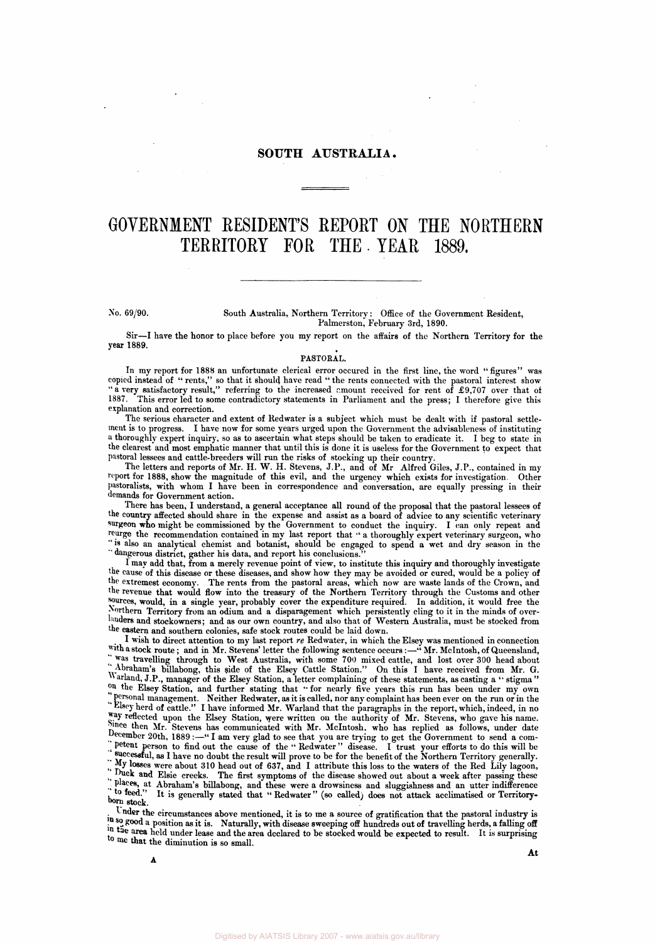## **SOUTH AUSTRALIA.**

# **GOVERNMENT RESIDENT'S REPORT ON THE NORTHERN TERRITORY FOR THE. YEAR 1889.**

#### No. 69/90. South Australia, Northern Territory: Office of the Government Resident, Palmerston, February 3rd, 1890.

Sir—I have the honor to place before you my report on the affairs of the Northern Territory for the year 1889.

### PASTORAL.

In my report for 1888 an unfortunate clerical error occured in the first line, the word "figures" was copied instead of " rents," so that it should have read " the rents connected with the pastoral interest show " a very satisfactory result," referring to the increased amount received for rent of £9.707 over that of 1887. This error led to some contradictory statements in Parliament and the press; I therefore give this explanation and correction.

The serious character and extent of Redwater is a subject which must be dealt with if pastoral settlement is to progress. I have now for some years urged upon the Government the advisableness of instituting a thoroughly expert inquiry, so as to ascertain what steps should be taken to eradicate it. I beg to state in the clearest and most emphatic manner that until this is done it is useless for the Government to expect that pastoral lessees and cattle-breeders will run the risks of stocking up their country.

The letters and reports of Mr. H. W. H. Stevens, J.P., and of Mr Alfred Giles, J.P., contained in my report for 1888, show the magnitude of this evil, and the urgency which exists for investigation. Other pastoralists, with whom I have been in correspondence and conversation, are equally pressing in their demands for Government action.

There has been, I understand, a general acceptance all round of the proposal that the pastoral lessees of the country affected should share in the expense and assist as a board of advice to any scientific veterinary surgeon who might be commissioned by the Government to conduct the inquiry. I can only repeat and reurge the recommendation contained in my last report that " a thoroughly expert veterinary surgeon, who " is also an analytical chemist and botanist, should be engaged to spend a wet and dry season in the " dangerous district, gather his data, and report his conclusions.''

I may add that, from a merely revenue point of view, to institute this inquiry and thoroughly investigate <sup>the cause</sup> of this disease or these diseases, and show how they may be avoided or cured, would be a policy of the extremest economy. The rents from the pastoral areas, which now are waste lands of the Crown, and the revenue that would flow into the treasury of the Northern Territory through the Customs and other purees, would, in a single year, probably cover the expenditure required. In addition, it would free the Northern Territory from an odium and a disparagement which persistently cling to it in the minds of over-<sup>landers</sup> and stockowners; and as our own country, and also that of Western Australia, must be stocked from the eastern and southern colonies, safe stock routes could be laid down.

I wish to direct attention to my last report *re* Redwater, in which the Elsey was mentioned in connection with a stock route; and in Mr. Stevens' letter the following sentence occurs:—" Mr. McIntosh, of Queensland, <sup>was</sup> travelling through to West Australia, with some 700 mixed cattle, and lost over 300 head about "Abraham's billabong, this side of the Elsey Cattle Station." On this I have received from Mr. G. Warland, J.P., manager of the Elsey Station, a letter complaining of these statements, as casting a " stigma " <sup>out</sup> the Elsey Station, and further stating that " for nearly five years this run has been under my own personal management. Neither Redwater, as it is called, nor any complaint has been ever on the run or in the  $n_{\text{L}}$ Elsey herd of cattle." I have informed Mr. Warland that the paragraphs in the report, which, indeed, in no ny reflected upon the Elsey Station, were written on the authority of Mr. Stevens, who gave his name. Since then Mr. Stevens has communicated with Mr. McIntosh, who has replied as follows, under date  $\frac{1}{2}$  am very glad to see that you are trying to get the Government to send a com-"petent person to find out the cause of the " Redwater" disease. I trust your efforts to do this will be successful, as I have no doubt the result will prove to be for the benefit of the Northern Territory generally.<br>We use that the Northern Territory generally. " My losses were about 310 head out of 637, and I attribute this loss to the waters of the Red Lily lagoon, "Duck and Elsie creeks. The first symptoms of the disease showed out about a week after passing these places, at Abraham's billabong, and these were a drowsiness and sluggishness and an utter indifference to feed. " It is generally stated that " Redwater " (so called) does not attack acclimatised or Territory- $\sum_{\text{h} \text{dom } A}$ 

Under the circumstances above mentioned, it is to me a source of gratification that the pastoral industry is in so good a position as it is. Naturally, with disease sweeping off hundreds out of travelling herds, a falling off  $\frac{f_{\text{ref}}}{f_{\text{ref}}}$  held under lease and the area declared to be stocked would be expected to result. It is surprising to me that the diminution is so small.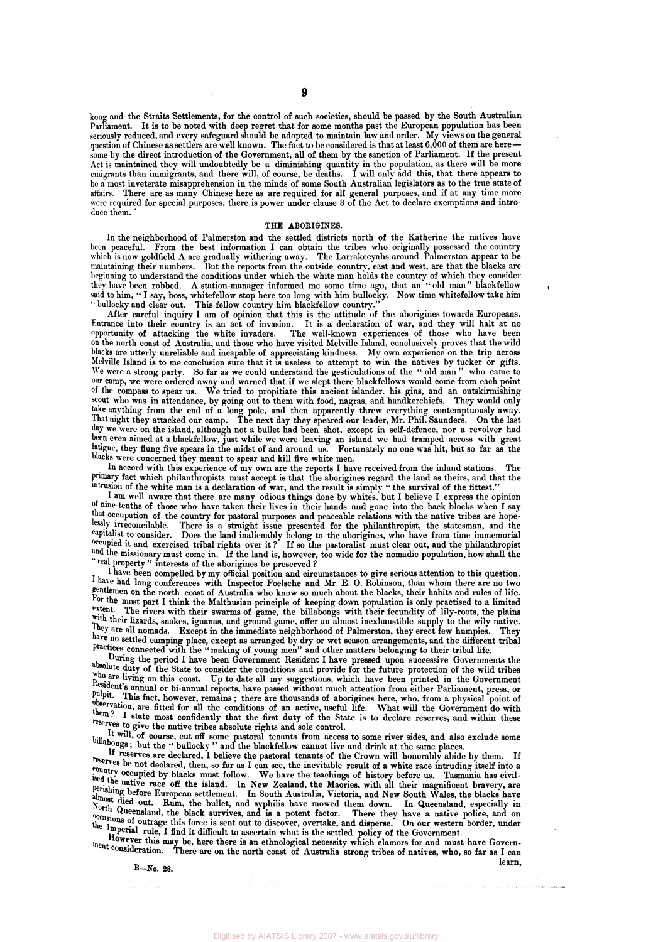**kong and the Straits Settlements, for the control of such societies, should be passed by the South Australian Parliament. It is to be noted with deep regret that for some months past the European population has been seriously reduced, and every safeguard should be adopted to maintain law and order. My views on the general**  question of Chinese as settlers are well known. The fact to be considered is that at least 6,000 of them are here**some by the direct introduction of the Government, all of them by the sanction of Parliament. If the present Act is maintained they will undoubtedly be a diminishing quantity in the population, as there will be more emigrants than immigrants, and there will, of course, be deaths. I will only add this, that there appears to be a most inveterate misapprehension in the minds of some South Australian legislators as to the true state of affairs. There are as many Chinese here as are required for all general purposes, and if at any time more were required for special purposes, there is power under clause 3 of the Act to declare exemptions and intro**duce them.

#### **THE ABORIGINES.**

**In the neighborhood of Palmerston and the settled districts north of the Katherine the natives have been peaceful. From the best information I can obtain the tribes who originally possessed the country which is now goldfield A are gradually withering away. The Larrakeeyahs around Palmerston appear to be maintaining their numbers. But the reports from the outside country, east and west, are that the blacks are beginning to understand the conditions under which the white man holds the country of which they consider they have been robbed. A station-manager informed me some time ago, that an "old man" black fellow said to him, " I say, boss, whitefellow stop here too long with him bullocky. Now time whitefellow take him " bullocky and clear out. This fellow country him blackfellow country/'** 

**After careful inquiry I am of opinion that this is the attitude of the aborigines towards Europeans. Entrance into their country is an act of invasion. It is a declaration of war, and they will halt at no opportunity of attacking the white invaders. The well-known experiences of those who have been on the north coast of Australia, and those who have visited Melville Island, conclusively proves that the wild blacks are utterly unreliable and incapable of appreciating kindness. My own experience on the trip across Melville Island is to me conclusion sure that it is useless to attempt to win the natives by tucker or gifts. We were a strong party. So far as we could understand the gesticulations of the " old man" who came to our camp, we were ordered away and warned that if we slept there blackfellows would come from each point of the compass to spear us. We tried to propitiate this ancient islander, his gins, and an outskirmishing scout who was in attendance, by going out to them with food, nagras, and handkerchiefs. They would only take anything from the end of a long pole, and then apparently threw everything contemptuously away. That night they attacked our camp. The next day they speared our leader, Mr. Phil. Saunders. On the last day we were on the island, although not a bullet had been shot, except in self-defence, nor a revolver had been even aimed at a blackfellow, just while we were leaving an island we had tramped across with great fatigue, they flung five spears in the midst of and around us. Fortunately no one was hit, but so far as the blacks were concerned they meant to spear and kill five white men.** 

**In accord with this experience of my own are the reports I have received from the inland stations. The primary fact which philanthropists must accept is that the aborigines regard the land as theirs, and that the intrusion of the white man is a declaration of war, and the result is simply "the survival of the fittest."** 

**I am well aware that there are many odious things done by whites, but I believe I express the opinion of nine-tenths of those who have taken their lives in their hands and gone into the back blocks when I say**  <sup>that occupation of the country for pastoral purposes and peaceable relations with the native tribes are hope-</sup> **lessly irreconcilable. There is a straight issue presented for the philanthropist, the statesman, and the capitalist to consider. Does the land inalienably belong to the aborigines, who have from time immemorial occupied it and exercised tribal rights over it ? If so the pastoralist must clear out, and the philanthropist**  <sup>and</sup> the missionary must come in. If the land is, however, too wide for the nomadic population, how shall the **real property " interests of the aborigines be preserved ?** 

**1 have been compelled by my official position and circumstances to give serious attention to this question. have had long conferences with Inspector Foelsche and Mr. E. O. Robinson, than whom there are no two gentlemen on the north coast of Australia who know so much about the blacks, their habits and rules of life.**  For the most part I think the Malthusian principle of keeping down population is only practised to a limited <sup>extent</sup>. The rivers with their swarms of game, the hillabones with their feaundity of lily roots the plains The rivers with their swarms of game, the billabongs with their fecundity of lily-roots, the plains with their lizards, snakes, iguanas, and ground game, offer an almost inexhaustible supply to the wily native. They are all nomads. Except in the immediate neighborhood of Palmerston, they are all nomads. Except in the immediate neighborhood of Palmerston, they are all nomads. They <sup>ave no</sup> settled camping place, except as arranged by dry or wet season arrangements, and the different tribal **practices connected with the "making of young men" and other matters belonging to their tribal life.** 

**During the period I have been Government Resident I have pressed upon successive Governments the**  absolute duty of the State to consider the conditions and provide for the future protection of the wild tribes we are living on this coast. Up to date all my suggestions, which have been printed in the Government **Resident's annual or bi-annual reports, have passed without much attention from either Parliament, press, or pulpit .This fact, however, remains ; there are thousands of aborigines here, who, from a physical point of observation, are fitted for all the conditions of an active, useful life. What will the Government do with the list of the state most confidently that the first duty of the State is to declare reserves, and within these res** to give the native tribes absolute rights and sole control.

**It will off course, cut off some pastoral tenants from access to some river sides, and also exclude some** bilabones begast, but the " bullocky" and the blackfellow cannot live and drink at the same places.

**If the reserves are declared, I believe the pastoral tenants of the Crown will honorably abide by them.** If  $\frac{1}{2}$ <sup>rountry</sup> because then, so far as I can see, the inevitable result of a white race intruding itself into a <sup>ountry</sup> commission into a <sup>ountry</sup> commission into a <sup>ountry</sup> commission. ised the netine as blacks must follow. We have the teachings of history before us. Tasmania has civil**ised the native race off the island. In New Zealand, the Maories, with all their magnificent bravery, are**  almost disclose European settlement. In South Australia, Victoria, and New South Wales, the blacks have almost disclosed in P **almost died out. Rum, the bullet, and syphilis have mowed them down. In Queensland, especially in**  North Queensland, the black survives, and is a potent factor. There they have a native police, and on <sup>0</sup>ccasions of outrage this force is sent out to discover, overtake, and disperse. On our western border, under the Imperial matrice is sent out to discover, overtake, and disperse. On our western border, under  $\ln \frac{1}{\ln n}$ 

**the imperial rule, I find it difficult to ascertain what is the settled policy of the Government.**  ment consideration and post- on there is an ethnological necessity which clamors for and must have dependence of  $\frac{1}{2}$ **ment consideration. There are on the north coast of Australia strong tribes of natives, who, so far as I can** 

**B-No. 28.** 

Digitised by AIATSIS Library 2007

**learn,**